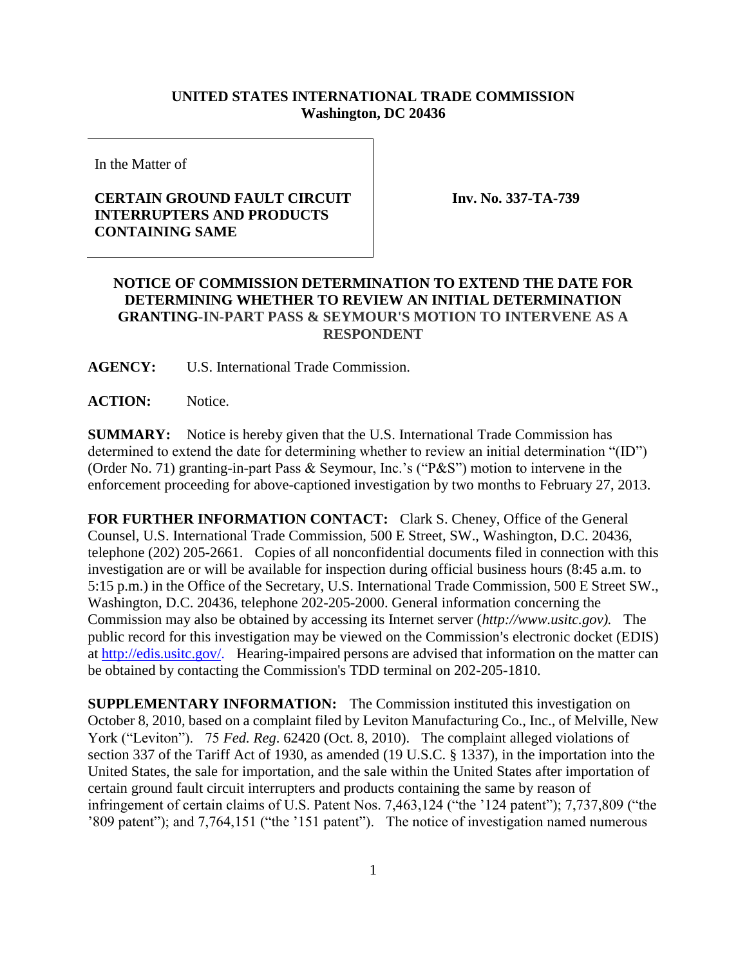## **UNITED STATES INTERNATIONAL TRADE COMMISSION Washington, DC 20436**

In the Matter of

## **CERTAIN GROUND FAULT CIRCUIT INTERRUPTERS AND PRODUCTS CONTAINING SAME**

**Inv. No. 337-TA-739**

## **NOTICE OF COMMISSION DETERMINATION TO EXTEND THE DATE FOR DETERMINING WHETHER TO REVIEW AN INITIAL DETERMINATION GRANTING-IN-PART PASS & SEYMOUR'S MOTION TO INTERVENE AS A RESPONDENT**

**AGENCY:** U.S. International Trade Commission.

## ACTION: Notice.

**SUMMARY:** Notice is hereby given that the U.S. International Trade Commission has determined to extend the date for determining whether to review an initial determination "(ID") (Order No. 71) granting-in-part Pass & Seymour, Inc.'s ("P&S") motion to intervene in the enforcement proceeding for above-captioned investigation by two months to February 27, 2013.

**FOR FURTHER INFORMATION CONTACT:** Clark S. Cheney, Office of the General Counsel, U.S. International Trade Commission, 500 E Street, SW., Washington, D.C. 20436, telephone (202) 205-2661. Copies of all nonconfidential documents filed in connection with this investigation are or will be available for inspection during official business hours (8:45 a.m. to 5:15 p.m.) in the Office of the Secretary, U.S. International Trade Commission, 500 E Street SW., Washington, D.C. 20436, telephone 202-205-2000. General information concerning the Commission may also be obtained by accessing its Internet server (*http://www.usitc.gov).* The public record for this investigation may be viewed on the Commission's electronic docket (EDIS) at http://edis.usitc.gov/. Hearing-impaired persons are advised that information on the matter can be obtained by contacting the Commission's TDD terminal on 202-205-1810.

**SUPPLEMENTARY INFORMATION:** The Commission instituted this investigation on October 8, 2010, based on a complaint filed by Leviton Manufacturing Co., Inc., of Melville, New York ("Leviton"). 75 *Fed. Reg*. 62420 (Oct. 8, 2010). The complaint alleged violations of section 337 of the Tariff Act of 1930, as amended (19 U.S.C. § 1337), in the importation into the United States, the sale for importation, and the sale within the United States after importation of certain ground fault circuit interrupters and products containing the same by reason of infringement of certain claims of U.S. Patent Nos. 7,463,124 ("the '124 patent"); 7,737,809 ("the '809 patent"); and 7,764,151 ("the '151 patent"). The notice of investigation named numerous